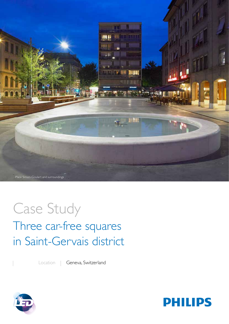

# Case Study Three car-free squares in Saint-Gervais district

Location | Geneva, Switzerland



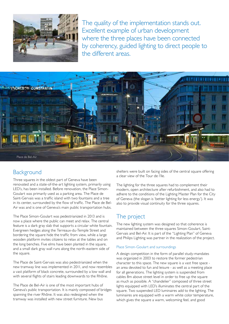

The quality of the implementation stands out. Excellent example of urban development where the three places have been connected by coherency, guided lighting to direct people to the different areas.



### **Background**

Three squares in the oldest part of Geneva have been renovated and a state-of-the-art lighting system, primarily using LED's, has been installed. Before renovation, the Place Simon-Goulart was primarily used as a parking area. The Place de Saint-Gervais was a traffic island with two fountains and a tree in its center, surrounded by the flow of traffic. The Place de Bel-Air was and is one of Geneva's main public transportation hubs.

The Place Simon-Goulart was pedestrianized in 2013 and is now a place where the public can meet and relax. The central feature is a dark gray slab that supports a circular white fountain. Evergreen hedges along the Terreaux-du-Temple Street and bordering the square hide the traffic from view, while a large wooden platform invites citizens to relax at the tables and on the long benches. Five elms have been planted in the square, and a small dark gray wall runs along the north-eastern side of the square.

The Place de Saint-Gervais was also pedestrianized when the new tramway line was implemented in 2011, and now resembles a vast platform of black concrete, surrounded by a low wall and with several flights of stairs leading downwards to the Rhône.

The Place de Bel-Air is one of the most important hubs of Geneva's public transportation. It is mainly composed of bridges spanning the river Rhône. It was also redesigned when the tramway was installed with new street furniture. New bus

shelters were built on facing sides of the central square offering a clear view of the Tour de l'Ile.

The lighting for the three squares had to complement their modern, open architecture after refurbishment, and also had to adhere to the conditions of the Lighting Master Plan for the City of Geneva (the slogan is 'better lighting for less energy'). It was also to provide visual continuity for the three squares.

## The project

The new lighting system was designed so that coherence is maintained between the three squares Simon-Goulart, Saint-Gervais and Bel-Air. It is part of the "Lighting Plan" of Geneva and Philips Lighting was partner in the realization of the project.

### Place Simon-Goulart and surroundings

A design competition in the form of parallel study-mandates was organized in 2003 to restore the former pedestrian character to this space. The new square is a vast free space an area devoted to fun and leisure - as well as a meeting place for all generations. The lighting system is suspended from cables 8m above street level in order to free up the square as much as possible. A "chandelier" composed of three street lights equipped with LED's illuminates the central part of the square. Two suspended LED luminaires add to the lighting. The luminaires are equipped with a warm white color temperature, which gives the square a warm, welcoming feel, and good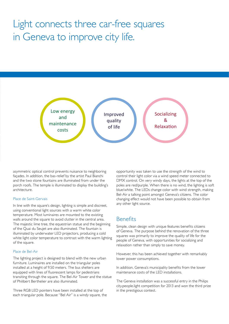# Light connects three car-free squares in Geneva to improve city life.



asymmetric optical control prevents nuisance to neighboring façades. In addition, the bas-relief by the artist Paul Bianchi text<br>text<br>as text and the two stone fountains are illuminated from under the porch roofs. The temple is illuminated to display the building's architecture.

#### Place de Saint-Gervais

illuminated by underwater LED projectors, producing a cold In line with the square's design, lighting is simple and discreet, using conventional light sources with a warm white color temperature. Most luminaires are mounted to the existing walls around the square to avoid clutter in the central area. The majestic lime tree, the equestrian statue and the beginning of the Quai du Seujet are also illuminated. The fountain is white light color temperature to contrast with the warm lighting of the square.

### Place de Bel-Air

The lighting project is designed to blend with the new urban furniture. Luminaires are installed on the triangular poles installed at a height of 9.50 meters. The bus shelters are equipped with lines of fluorescent lamps for pedestrians transiting through the square. The Bel-Air Tower and the statue of Philibert Berthelier are also illuminated.

Three RGB LED pointers have been installed at the top of each triangular pole. Because "Bel Air" is a windy square, the

opportunity was taken to use the strength of the wind to control their light color via a wind speed meter connected to DMX control. On very windy days, the lights at the top of the poles are red/purple. When there is no wind, the lighting is soft blue/white. The LEDs change color with wind strength, making Bel-Air a talking point amongst Geneva's citizens. The color changing effect would not have been possible to obtain from any other light source.

### **Benefits**

text text text text text text text of Geneva. The purpose behind the renovation of the three<br>ED projectors, producing a cold<br>expressive primarily to improve the quality of life for the Simple, clean design with unique features benefits citizens squares was primarily to improve the quality of life for the people of Geneva, with opportunities for socializing and relaxation rather than simply to save money.

> However, this has been achieved together with remarkably lower power consumptions.

In addition, Geneva's municipality benefits from the lower maintenance costs of the LED installations.

The Geneva installation was a successful entry in the Philips city.people.light competition for 2013 and won the third prize in the prestigious contest.